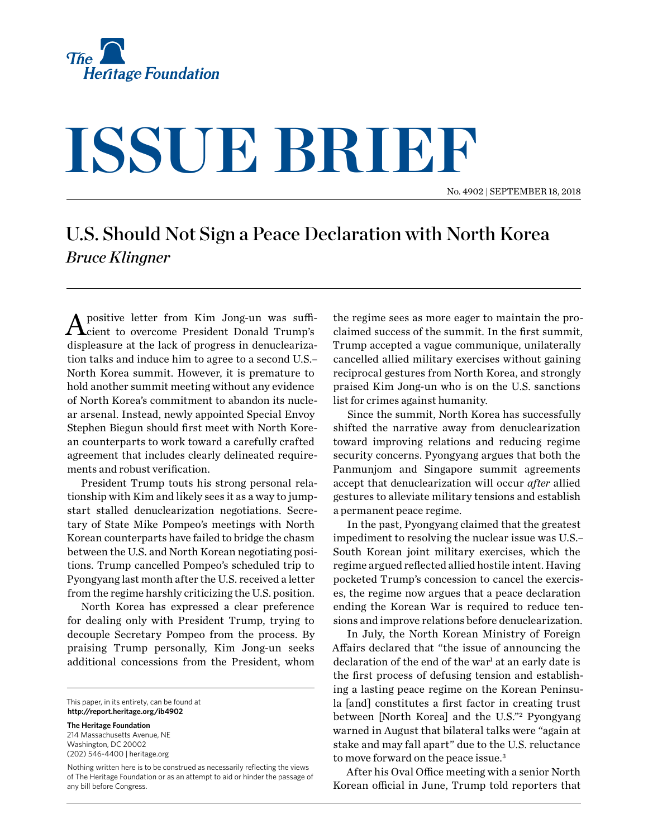

## **ISSUE BRIEF**

No. 4902 | September 18, 2018

## U.S. Should Not Sign a Peace Declaration with North Korea *Bruce Klingner*

A positive letter from Kim Jong-un was suffi-cient to overcome President Donald Trump's displeasure at the lack of progress in denuclearization talks and induce him to agree to a second U.S.– North Korea summit. However, it is premature to hold another summit meeting without any evidence of North Korea's commitment to abandon its nuclear arsenal. Instead, newly appointed Special Envoy Stephen Biegun should first meet with North Korean counterparts to work toward a carefully crafted agreement that includes clearly delineated requirements and robust verification.

President Trump touts his strong personal relationship with Kim and likely sees it as a way to jumpstart stalled denuclearization negotiations. Secretary of State Mike Pompeo's meetings with North Korean counterparts have failed to bridge the chasm between the U.S. and North Korean negotiating positions. Trump cancelled Pompeo's scheduled trip to Pyongyang last month after the U.S. received a letter from the regime harshly criticizing the U.S. position.

North Korea has expressed a clear preference for dealing only with President Trump, trying to decouple Secretary Pompeo from the process. By praising Trump personally, Kim Jong-un seeks additional concessions from the President, whom

This paper, in its entirety, can be found at **http://report.heritage.org/ib4902**

**The Heritage Foundation** 214 Massachusetts Avenue, NE Washington, DC 20002 (202) 546-4400 | [heritage.org](http://www.heritage.org)

Nothing written here is to be construed as necessarily reflecting the views of The Heritage Foundation or as an attempt to aid or hinder the passage of any bill before Congress.

the regime sees as more eager to maintain the proclaimed success of the summit. In the first summit, Trump accepted a vague communique, unilaterally cancelled allied military exercises without gaining reciprocal gestures from North Korea, and strongly praised Kim Jong-un who is on the U.S. sanctions list for crimes against humanity.

Since the summit, North Korea has successfully shifted the narrative away from denuclearization toward improving relations and reducing regime security concerns. Pyongyang argues that both the Panmunjom and Singapore summit agreements accept that denuclearization will occur *after* allied gestures to alleviate military tensions and establish a permanent peace regime.

In the past, Pyongyang claimed that the greatest impediment to resolving the nuclear issue was U.S.– South Korean joint military exercises, which the regime argued reflected allied hostile intent. Having pocketed Trump's concession to cancel the exercises, the regime now argues that a peace declaration ending the Korean War is required to reduce tensions and improve relations before denuclearization.

In July, the North Korean Ministry of Foreign Affairs declared that "the issue of announcing the declaration of the end of the war<sup>1</sup> at an early date is the first process of defusing tension and establishing a lasting peace regime on the Korean Peninsula [and] constitutes a first factor in creating trust between [North Korea] and the U.S."2 Pyongyang warned in August that bilateral talks were "again at stake and may fall apart" due to the U.S. reluctance to move forward on the peace issue.3

After his Oval Office meeting with a senior North Korean official in June, Trump told reporters that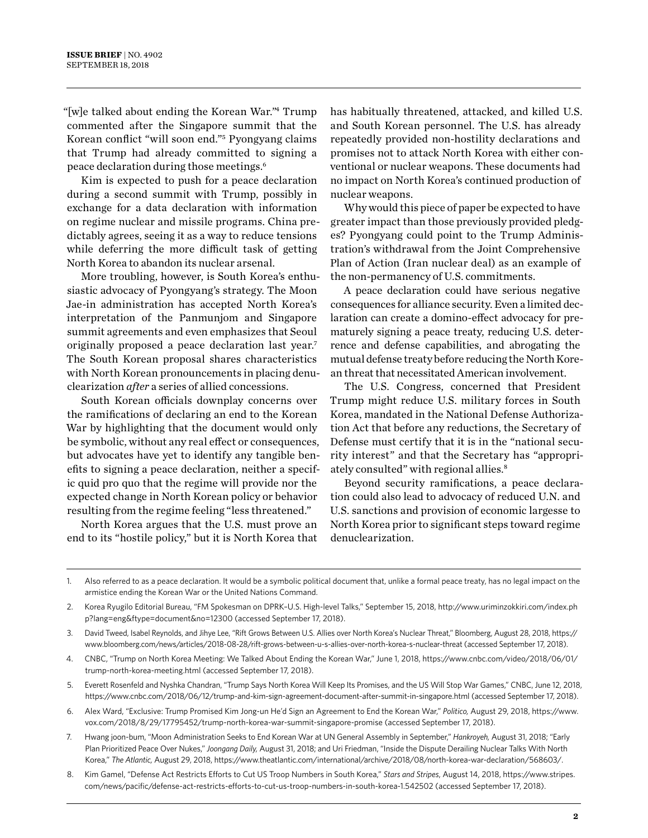"[w]e talked about ending the Korean War."4 Trump commented after the Singapore summit that the Korean conflict "will soon end."5 Pyongyang claims that Trump had already committed to signing a peace declaration during those meetings.6

Kim is expected to push for a peace declaration during a second summit with Trump, possibly in exchange for a data declaration with information on regime nuclear and missile programs. China predictably agrees, seeing it as a way to reduce tensions while deferring the more difficult task of getting North Korea to abandon its nuclear arsenal.

More troubling, however, is South Korea's enthusiastic advocacy of Pyongyang's strategy. The Moon Jae-in administration has accepted North Korea's interpretation of the Panmunjom and Singapore summit agreements and even emphasizes that Seoul originally proposed a peace declaration last year.7 The South Korean proposal shares characteristics with North Korean pronouncements in placing denuclearization *after* a series of allied concessions.

South Korean officials downplay concerns over the ramifications of declaring an end to the Korean War by highlighting that the document would only be symbolic, without any real effect or consequences, but advocates have yet to identify any tangible benefits to signing a peace declaration, neither a specific quid pro quo that the regime will provide nor the expected change in North Korean policy or behavior resulting from the regime feeling "less threatened."

North Korea argues that the U.S. must prove an end to its "hostile policy," but it is North Korea that has habitually threatened, attacked, and killed U.S. and South Korean personnel. The U.S. has already repeatedly provided non-hostility declarations and promises not to attack North Korea with either conventional or nuclear weapons. These documents had no impact on North Korea's continued production of nuclear weapons.

Why would this piece of paper be expected to have greater impact than those previously provided pledges? Pyongyang could point to the Trump Administration's withdrawal from the Joint Comprehensive Plan of Action (Iran nuclear deal) as an example of the non-permanency of U.S. commitments.

A peace declaration could have serious negative consequences for alliance security. Even a limited declaration can create a domino-effect advocacy for prematurely signing a peace treaty, reducing U.S. deterrence and defense capabilities, and abrogating the mutual defense treaty before reducing the North Korean threat that necessitated American involvement.

The U.S. Congress, concerned that President Trump might reduce U.S. military forces in South Korea, mandated in the National Defense Authorization Act that before any reductions, the Secretary of Defense must certify that it is in the "national security interest" and that the Secretary has "appropriately consulted" with regional allies.<sup>8</sup>

Beyond security ramifications, a peace declaration could also lead to advocacy of reduced U.N. and U.S. sanctions and provision of economic largesse to North Korea prior to significant steps toward regime denuclearization.

- 6. Alex Ward, "Exclusive: Trump Promised Kim Jong-un He'd Sign an Agreement to End the Korean War," *Politico,* August 29, 2018, https://www. vox.com/2018/8/29/17795452/trump-north-korea-war-summit-singapore-promise (accessed September 17, 2018).
- 7. Hwang joon-bum, "Moon Administration Seeks to End Korean War at UN General Assembly in September," *Hankroyeh,* August 31, 2018; "Early Plan Prioritized Peace Over Nukes," *Joongang Daily,* August 31, 2018; and Uri Friedman, "Inside the Dispute Derailing Nuclear Talks With North Korea," *The Atlantic,* August 29, 2018, https://www.theatlantic.com/international/archive/2018/08/north-korea-war-declaration/568603/.
- 8. Kim Gamel, "Defense Act Restricts Efforts to Cut US Troop Numbers in South Korea," *Stars and Stripes*, August 14, 2018, https://www.stripes. com/news/pacific/defense-act-restricts-efforts-to-cut-us-troop-numbers-in-south-korea-1.542502 (accessed September 17, 2018).

<sup>1.</sup> Also referred to as a peace declaration. It would be a symbolic political document that, unlike a formal peace treaty, has no legal impact on the armistice ending the Korean War or the United Nations Command.

<sup>2.</sup> Korea Ryugilo Editorial Bureau, "FM Spokesman on DPRK–U.S. High-level Talks," September 15, 2018, http://www.uriminzokkiri.com/index.ph p?lang=eng&ftype=document&no=12300 (accessed September 17, 2018).

<sup>3.</sup> David Tweed, Isabel Reynolds, and Jihye Lee, "Rift Grows Between U.S. Allies over North Korea's Nuclear Threat," Bloomberg, August 28, 2018, https:// www.bloomberg.com/news/articles/2018-08-28/rift-grows-between-u-s-allies-over-north-korea-s-nuclear-threat (accessed September 17, 2018).

<sup>4.</sup> CNBC, "Trump on North Korea Meeting: We Talked About Ending the Korean War," June 1, 2018, https://www.cnbc.com/video/2018/06/01/ trump-north-korea-meeting.html (accessed September 17, 2018).

<sup>5.</sup> Everett Rosenfeld and Nyshka Chandran, "Trump Says North Korea Will Keep Its Promises, and the US Will Stop War Games," CNBC, June 12, 2018, https://www.cnbc.com/2018/06/12/trump-and-kim-sign-agreement-document-after-summit-in-singapore.html (accessed September 17, 2018).